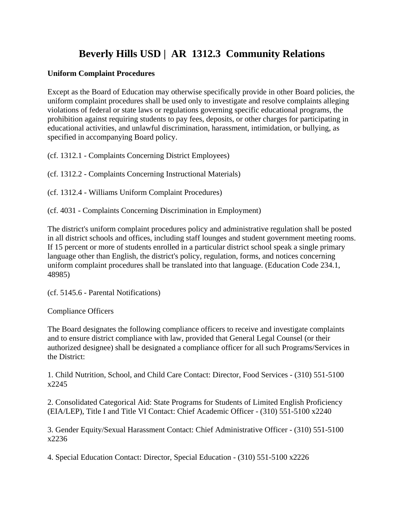## **Beverly Hills USD | AR 1312.3 Community Relations**

## **Uniform Complaint Procedures**

Except as the Board of Education may otherwise specifically provide in other Board policies, the uniform complaint procedures shall be used only to investigate and resolve complaints alleging violations of federal or state laws or regulations governing specific educational programs, the prohibition against requiring students to pay fees, deposits, or other charges for participating in educational activities, and unlawful discrimination, harassment, intimidation, or bullying, as specified in accompanying Board policy.

(cf. 1312.1 - Complaints Concerning District Employees)

(cf. 1312.2 - Complaints Concerning Instructional Materials)

(cf. 1312.4 - Williams Uniform Complaint Procedures)

(cf. 4031 - Complaints Concerning Discrimination in Employment)

The district's uniform complaint procedures policy and administrative regulation shall be posted in all district schools and offices, including staff lounges and student government meeting rooms. If 15 percent or more of students enrolled in a particular district school speak a single primary language other than English, the district's policy, regulation, forms, and notices concerning uniform complaint procedures shall be translated into that language. (Education Code 234.1, 48985)

(cf. 5145.6 - Parental Notifications)

Compliance Officers

The Board designates the following compliance officers to receive and investigate complaints and to ensure district compliance with law, provided that General Legal Counsel (or their authorized designee) shall be designated a compliance officer for all such Programs/Services in the District:

1. Child Nutrition, School, and Child Care Contact: Director, Food Services - (310) 551-5100 x2245

2. Consolidated Categorical Aid: State Programs for Students of Limited English Proficiency (EIA/LEP), Title I and Title VI Contact: Chief Academic Officer - (310) 551-5100 x2240

3. Gender Equity/Sexual Harassment Contact: Chief Administrative Officer - (310) 551-5100 x2236

4. Special Education Contact: Director, Special Education - (310) 551-5100 x2226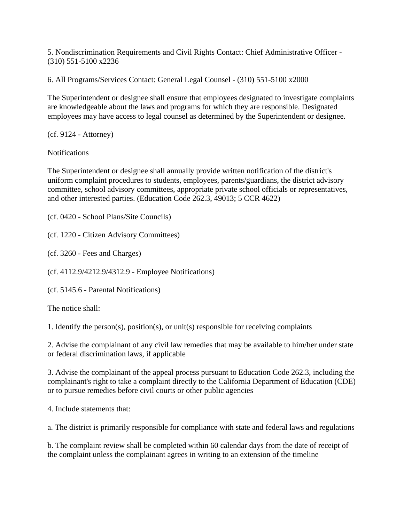5. Nondiscrimination Requirements and Civil Rights Contact: Chief Administrative Officer - (310) 551-5100 x2236

6. All Programs/Services Contact: General Legal Counsel - (310) 551-5100 x2000

The Superintendent or designee shall ensure that employees designated to investigate complaints are knowledgeable about the laws and programs for which they are responsible. Designated employees may have access to legal counsel as determined by the Superintendent or designee.

(cf. 9124 - Attorney)

Notifications

The Superintendent or designee shall annually provide written notification of the district's uniform complaint procedures to students, employees, parents/guardians, the district advisory committee, school advisory committees, appropriate private school officials or representatives, and other interested parties. (Education Code 262.3, 49013; 5 CCR 4622)

(cf. 0420 - School Plans/Site Councils)

(cf. 1220 - Citizen Advisory Committees)

(cf. 3260 - Fees and Charges)

(cf. 4112.9/4212.9/4312.9 - Employee Notifications)

(cf. 5145.6 - Parental Notifications)

The notice shall:

1. Identify the person(s), position(s), or unit(s) responsible for receiving complaints

2. Advise the complainant of any civil law remedies that may be available to him/her under state or federal discrimination laws, if applicable

3. Advise the complainant of the appeal process pursuant to Education Code 262.3, including the complainant's right to take a complaint directly to the California Department of Education (CDE) or to pursue remedies before civil courts or other public agencies

4. Include statements that:

a. The district is primarily responsible for compliance with state and federal laws and regulations

b. The complaint review shall be completed within 60 calendar days from the date of receipt of the complaint unless the complainant agrees in writing to an extension of the timeline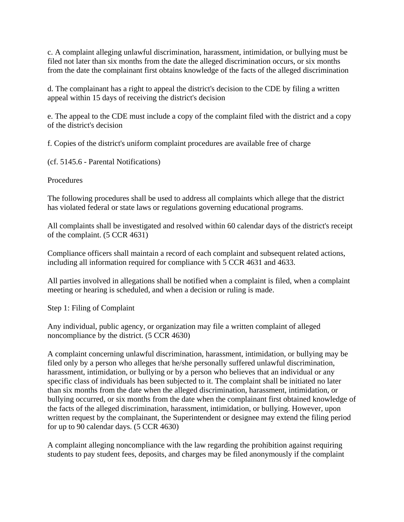c. A complaint alleging unlawful discrimination, harassment, intimidation, or bullying must be filed not later than six months from the date the alleged discrimination occurs, or six months from the date the complainant first obtains knowledge of the facts of the alleged discrimination

d. The complainant has a right to appeal the district's decision to the CDE by filing a written appeal within 15 days of receiving the district's decision

e. The appeal to the CDE must include a copy of the complaint filed with the district and a copy of the district's decision

f. Copies of the district's uniform complaint procedures are available free of charge

(cf. 5145.6 - Parental Notifications)

Procedures

The following procedures shall be used to address all complaints which allege that the district has violated federal or state laws or regulations governing educational programs.

All complaints shall be investigated and resolved within 60 calendar days of the district's receipt of the complaint. (5 CCR 4631)

Compliance officers shall maintain a record of each complaint and subsequent related actions, including all information required for compliance with 5 CCR 4631 and 4633.

All parties involved in allegations shall be notified when a complaint is filed, when a complaint meeting or hearing is scheduled, and when a decision or ruling is made.

Step 1: Filing of Complaint

Any individual, public agency, or organization may file a written complaint of alleged noncompliance by the district. (5 CCR 4630)

A complaint concerning unlawful discrimination, harassment, intimidation, or bullying may be filed only by a person who alleges that he/she personally suffered unlawful discrimination, harassment, intimidation, or bullying or by a person who believes that an individual or any specific class of individuals has been subjected to it. The complaint shall be initiated no later than six months from the date when the alleged discrimination, harassment, intimidation, or bullying occurred, or six months from the date when the complainant first obtained knowledge of the facts of the alleged discrimination, harassment, intimidation, or bullying. However, upon written request by the complainant, the Superintendent or designee may extend the filing period for up to 90 calendar days. (5 CCR 4630)

A complaint alleging noncompliance with the law regarding the prohibition against requiring students to pay student fees, deposits, and charges may be filed anonymously if the complaint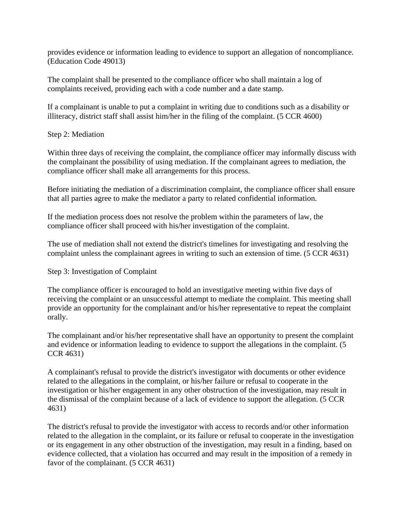provides evidence or information leading to evidence to support an allegation of noncompliance. (Education Code 49013)

The complaint shall be presented to the compliance officer who shall maintain a log of complaints received, providing each with a code number and a date stamp.

If a complainant is unable to put a complaint in writing due to conditions such as a disability or illiteracy, district staff shall assist him/her in the filing of the complaint. (5 CCR 4600)

Step 2: Mediation

Within three days of receiving the complaint, the compliance officer may informally discuss with the complainant the possibility of using mediation. If the complainant agrees to mediation, the compliance officer shall make all arrangements for this process.

Before initiating the mediation of a discrimination complaint, the compliance officer shall ensure that all parties agree to make the mediator a party to related confidential information.

If the mediation process does not resolve the problem within the parameters of law, the compliance officer shall proceed with his/her investigation of the complaint.

The use of mediation shall not extend the district's timelines for investigating and resolving the complaint unless the complainant agrees in writing to such an extension of time. (5 CCR 4631)

Step 3: Investigation of Complaint

The compliance officer is encouraged to hold an investigative meeting within five days of receiving the complaint or an unsuccessful attempt to mediate the complaint. This meeting shall provide an opportunity for the complainant and/or his/her representative to repeat the complaint orally.

The complainant and/or his/her representative shall have an opportunity to present the complaint and evidence or information leading to evidence to support the allegations in the complaint. (5 CCR 4631)

A complainant's refusal to provide the district's investigator with documents or other evidence related to the allegations in the complaint, or his/her failure or refusal to cooperate in the investigation or his/her engagement in any other obstruction of the investigation, may result in the dismissal of the complaint because of a lack of evidence to support the allegation. (5 CCR 4631)

The district's refusal to provide the investigator with access to records and/or other information related to the allegation in the complaint, or its failure or refusal to cooperate in the investigation or its engagement in any other obstruction of the investigation, may result in a finding, based on evidence collected, that a violation has occurred and may result in the imposition of a remedy in favor of the complainant. (5 CCR 4631)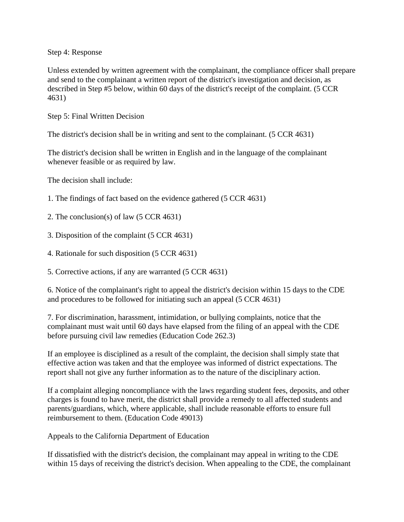Step 4: Response

Unless extended by written agreement with the complainant, the compliance officer shall prepare and send to the complainant a written report of the district's investigation and decision, as described in Step #5 below, within 60 days of the district's receipt of the complaint. (5 CCR 4631)

Step 5: Final Written Decision

The district's decision shall be in writing and sent to the complainant. (5 CCR 4631)

The district's decision shall be written in English and in the language of the complainant whenever feasible or as required by law.

The decision shall include:

- 1. The findings of fact based on the evidence gathered (5 CCR 4631)
- 2. The conclusion(s) of law (5 CCR 4631)
- 3. Disposition of the complaint (5 CCR 4631)
- 4. Rationale for such disposition (5 CCR 4631)
- 5. Corrective actions, if any are warranted (5 CCR 4631)

6. Notice of the complainant's right to appeal the district's decision within 15 days to the CDE and procedures to be followed for initiating such an appeal (5 CCR 4631)

7. For discrimination, harassment, intimidation, or bullying complaints, notice that the complainant must wait until 60 days have elapsed from the filing of an appeal with the CDE before pursuing civil law remedies (Education Code 262.3)

If an employee is disciplined as a result of the complaint, the decision shall simply state that effective action was taken and that the employee was informed of district expectations. The report shall not give any further information as to the nature of the disciplinary action.

If a complaint alleging noncompliance with the laws regarding student fees, deposits, and other charges is found to have merit, the district shall provide a remedy to all affected students and parents/guardians, which, where applicable, shall include reasonable efforts to ensure full reimbursement to them. (Education Code 49013)

Appeals to the California Department of Education

If dissatisfied with the district's decision, the complainant may appeal in writing to the CDE within 15 days of receiving the district's decision. When appealing to the CDE, the complainant